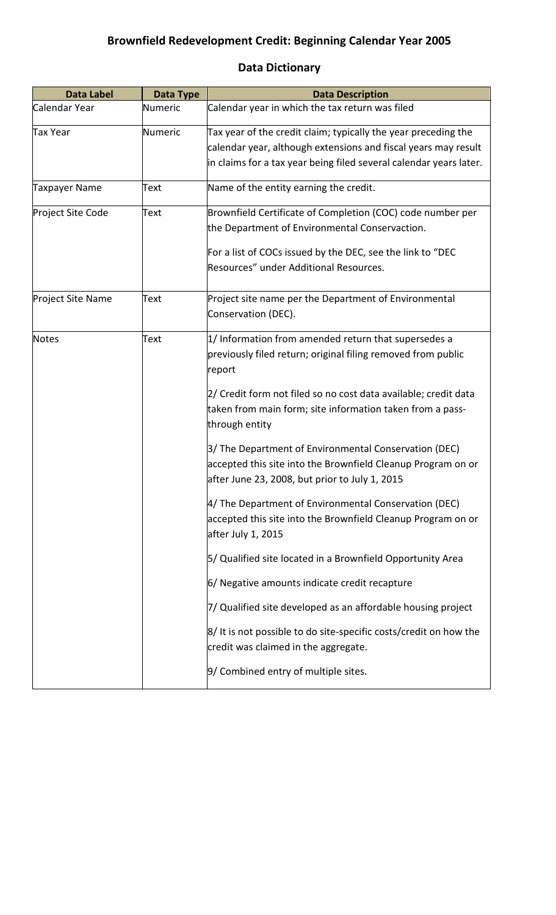## **Brownfield Redevelopment Credit: Beginning Calendar Year 2005**

## **Data Label Data Type Data Description** Calendar Year  $\blacksquare$  Numeric  $\blacksquare$  Calendar year in which the tax return was filed Tax Year **Numeric** Tax year of the credit claim; typically the year preceding the calendar year, although extensions and fiscal years may result in claims for a tax year being filed several calendar years later. Taxpayer Name  $\begin{array}{ccc} \text{Text} & \text{Name of the entity earning the credit.} \end{array}$ Project Site Code  $T$   $\qquad$   $\qquad$   $\qquad$   $\qquad$   $\qquad$   $\qquad$   $\qquad$   $\qquad$   $\qquad$   $\qquad$   $\qquad$   $\qquad$   $\qquad$   $\qquad$   $\qquad$   $\qquad$   $\qquad$   $\qquad$   $\qquad$   $\qquad$   $\qquad$   $\qquad$   $\qquad$   $\qquad$   $\qquad$   $\qquad$   $\qquad$   $\qquad$   $\qquad$   $\qquad$   $\qquad$   $\qquad$   $\qquad$  the Department of Environmental Conservaction. For a list of COCs issued by the DEC, see the link to "DEC Resources" under Additional Resources. Project Site Name Text Project site name per the Department of Environmental Conservation (DEC). Notes  $T$  Text  $\begin{bmatrix} 1 \end{bmatrix}$  Information from amended return that supersedes a previously filed return; original filing removed from public report 2/ Credit form not filed so no cost data available; credit data taken from main form; site information taken from a passthrough entity 3/ The Department of Environmental Conservation (DEC) accepted this site into the Brownfield Cleanup Program on or after June 23, 2008, but prior to July 1, 2015 4/ The Department of Environmental Conservation (DEC) accepted this site into the Brownfield Cleanup Program on or after July 1, 2015 5/ Qualified site located in a Brownfield Opportunity Area 6/ Negative amounts indicate credit recapture 7/ Qualified site developed as an affordable housing project 8/ It is not possible to do site-specific costs/credit on how the credit was claimed in the aggregate. 9/ Combined entry of multiple sites.

## **Data Dictionary**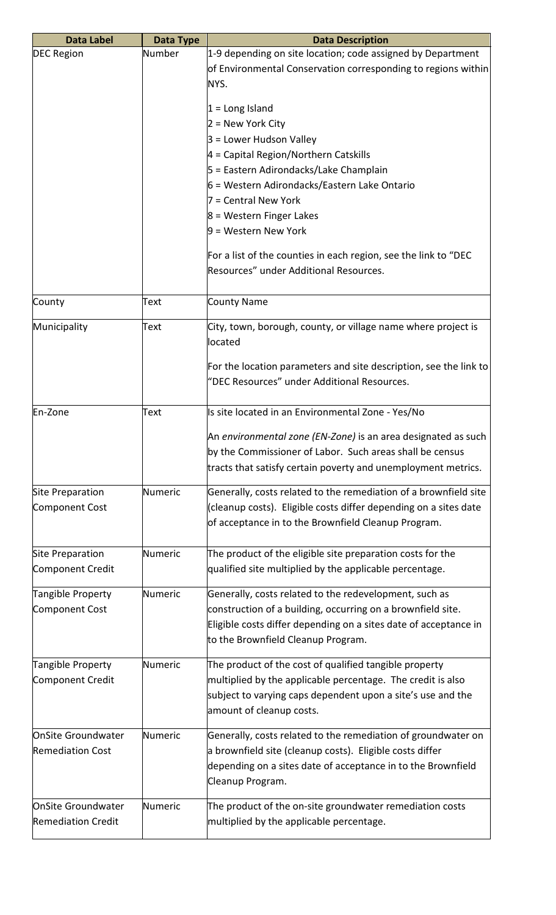| <b>Data Label</b>         | Data Type | <b>Data Description</b>                                           |
|---------------------------|-----------|-------------------------------------------------------------------|
| <b>DEC Region</b>         | Number    | 1-9 depending on site location; code assigned by Department       |
|                           |           | of Environmental Conservation corresponding to regions within     |
|                           |           | NYS.                                                              |
|                           |           |                                                                   |
|                           |           | $1 = Long$ Island                                                 |
|                           |           | 2 = New York City                                                 |
|                           |           | 3 = Lower Hudson Valley                                           |
|                           |           | $4$ = Capital Region/Northern Catskills                           |
|                           |           | 5 = Eastern Adirondacks/Lake Champlain                            |
|                           |           | 6 = Western Adirondacks/Eastern Lake Ontario                      |
|                           |           | 7 = Central New York                                              |
|                           |           | 8 = Western Finger Lakes                                          |
|                           |           | 9 = Western New York                                              |
|                           |           |                                                                   |
|                           |           | For a list of the counties in each region, see the link to "DEC   |
|                           |           | Resources" under Additional Resources.                            |
|                           |           |                                                                   |
| County                    | Text      | County Name                                                       |
|                           |           |                                                                   |
| Municipality              | Text      | City, town, borough, county, or village name where project is     |
|                           |           | located                                                           |
|                           |           | For the location parameters and site description, see the link to |
|                           |           | "DEC Resources" under Additional Resources.                       |
|                           |           |                                                                   |
| En-Zone                   | Text      | Is site located in an Environmental Zone - Yes/No                 |
|                           |           |                                                                   |
|                           |           | An environmental zone (EN-Zone) is an area designated as such     |
|                           |           | by the Commissioner of Labor. Such areas shall be census          |
|                           |           | tracts that satisfy certain poverty and unemployment metrics.     |
| Site Preparation          | Numeric   | Generally, costs related to the remediation of a brownfield site  |
| Component Cost            |           | (cleanup costs). Eligible costs differ depending on a sites date  |
|                           |           | of acceptance in to the Brownfield Cleanup Program.               |
|                           |           |                                                                   |
| Site Preparation          | Numeric   | The product of the eligible site preparation costs for the        |
| Component Credit          |           | qualified site multiplied by the applicable percentage.           |
|                           |           |                                                                   |
| Tangible Property         | Numeric   | Generally, costs related to the redevelopment, such as            |
| Component Cost            |           | construction of a building, occurring on a brownfield site.       |
|                           |           | Eligible costs differ depending on a sites date of acceptance in  |
|                           |           | to the Brownfield Cleanup Program.                                |
|                           |           |                                                                   |
| Tangible Property         | Numeric   | The product of the cost of qualified tangible property            |
| Component Credit          |           | multiplied by the applicable percentage. The credit is also       |
|                           |           | subject to varying caps dependent upon a site's use and the       |
|                           |           | amount of cleanup costs.                                          |
| OnSite Groundwater        | Numeric   | Generally, costs related to the remediation of groundwater on     |
| <b>Remediation Cost</b>   |           | a brownfield site (cleanup costs). Eligible costs differ          |
|                           |           | depending on a sites date of acceptance in to the Brownfield      |
|                           |           | Cleanup Program.                                                  |
|                           |           |                                                                   |
| OnSite Groundwater        | Numeric   | The product of the on-site groundwater remediation costs          |
| <b>Remediation Credit</b> |           | multiplied by the applicable percentage.                          |
|                           |           |                                                                   |